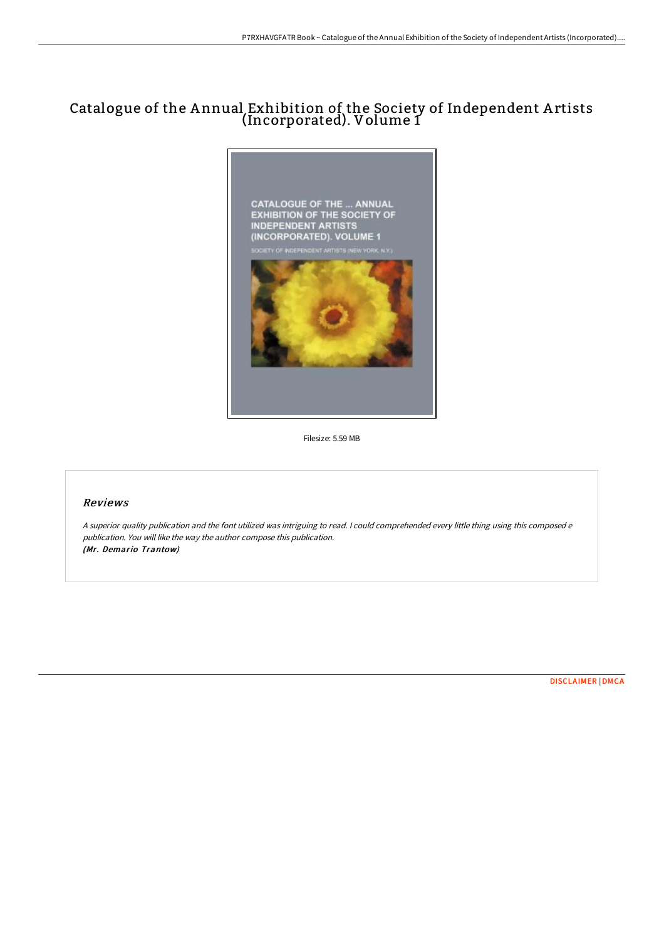# Catalogue of the A nnual Exhibition of the Society of Independent A rtists (Incorporated). Volume 1



Filesize: 5.59 MB

#### Reviews

<sup>A</sup> superior quality publication and the font utilized was intriguing to read. <sup>I</sup> could comprehended every little thing using this composed <sup>e</sup> publication. You will like the way the author compose this publication. (Mr. Demario Trantow)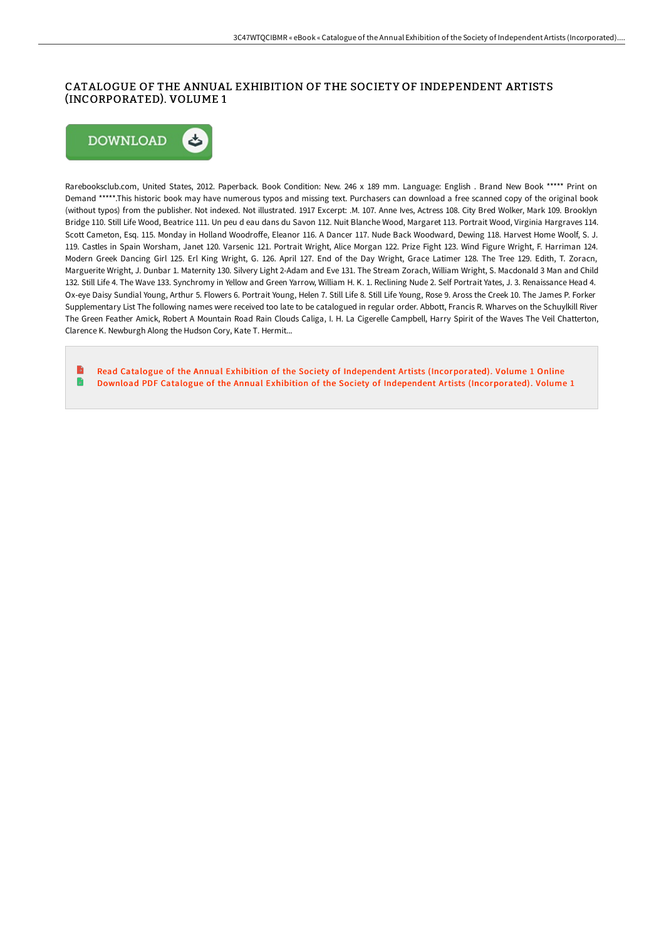## CATALOGUE OF THE ANNUAL EXHIBITION OF THE SOCIETY OF INDEPENDENT ARTISTS (INCORPORATED). VOLUME 1



Rarebooksclub.com, United States, 2012. Paperback. Book Condition: New. 246 x 189 mm. Language: English . Brand New Book \*\*\*\*\* Print on Demand \*\*\*\*\*.This historic book may have numerous typos and missing text. Purchasers can download a free scanned copy of the original book (without typos) from the publisher. Not indexed. Not illustrated. 1917 Excerpt: .M. 107. Anne Ives, Actress 108. City Bred Wolker, Mark 109. Brooklyn Bridge 110. Still Life Wood, Beatrice 111. Un peu d eau dans du Savon 112. Nuit Blanche Wood, Margaret 113. Portrait Wood, Virginia Hargraves 114. Scott Cameton, Esq. 115. Monday in Holland Woodroffe, Eleanor 116. A Dancer 117. Nude Back Woodward, Dewing 118. Harvest Home Woolf, S. J. 119. Castles in Spain Worsham, Janet 120. Varsenic 121. Portrait Wright, Alice Morgan 122. Prize Fight 123. Wind Figure Wright, F. Harriman 124. Modern Greek Dancing Girl 125. Erl King Wright, G. 126. April 127. End of the Day Wright, Grace Latimer 128. The Tree 129. Edith, T. Zoracn, Marguerite Wright, J. Dunbar 1. Maternity 130. Silvery Light 2-Adam and Eve 131. The Stream Zorach, William Wright, S. Macdonald 3 Man and Child 132. Still Life 4. The Wave 133. Synchromy in Yellow and Green Yarrow, William H. K. 1. Reclining Nude 2. Self Portrait Yates, J. 3. Renaissance Head 4. Ox-eye Daisy Sundial Young, Arthur 5. Flowers 6. Portrait Young, Helen 7. Still Life 8. Still Life Young, Rose 9. Aross the Creek 10. The James P. Forker Supplementary List The following names were received too late to be catalogued in regular order. Abbott, Francis R. Wharves on the Schuylkill River The Green Feather Amick, Robert A Mountain Road Rain Clouds Caliga, I. H. La Cigerelle Campbell, Harry Spirit of the Waves The Veil Chatterton, Clarence K. Newburgh Along the Hudson Cory, Kate T. Hermit...

Read Catalogue of the Annual Exhibition of the Society of Independent Artists [\(Incorporated\).](http://bookera.tech/catalogue-of-the-annual-exhibition-of-the-societ.html) Volume 1 Online Ð Download PDF Catalogue of the Annual Exhibition of the Society of Independent Artists [\(Incorporated\).](http://bookera.tech/catalogue-of-the-annual-exhibition-of-the-societ.html) Volume 1